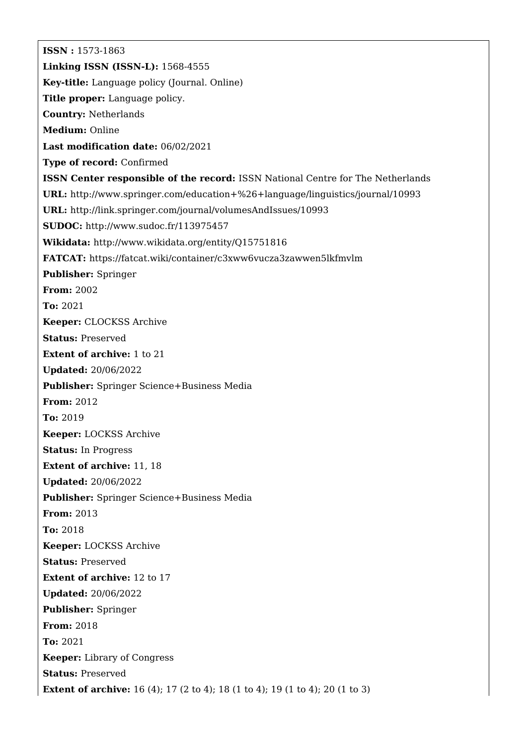**ISSN :** 1573-1863 **Linking ISSN (ISSN-L):** 1568-4555 **Key-title:** Language policy (Journal. Online) **Title proper:** Language policy. **Country:** Netherlands **Medium:** Online **Last modification date:** 06/02/2021 **Type of record:** Confirmed **ISSN Center responsible of the record:** ISSN National Centre for The Netherlands **URL:** <http://www.springer.com/education+%26+language/linguistics/journal/10993> **URL:** <http://link.springer.com/journal/volumesAndIssues/10993> **SUDOC:** <http://www.sudoc.fr/113975457> **Wikidata:** <http://www.wikidata.org/entity/Q15751816> **FATCAT:** <https://fatcat.wiki/container/c3xww6vucza3zawwen5lkfmvlm> **Publisher:** Springer **From:** 2002 **To:** 2021 **Keeper:** CLOCKSS Archive **Status:** Preserved **Extent of archive:** 1 to 21 **Updated:** 20/06/2022 **Publisher:** Springer Science+Business Media **From:** 2012 **To:** 2019 **Keeper:** LOCKSS Archive **Status:** In Progress **Extent of archive:** 11, 18 **Updated:** 20/06/2022 **Publisher:** Springer Science+Business Media **From:** 2013 **To:** 2018 **Keeper:** LOCKSS Archive **Status:** Preserved **Extent of archive:** 12 to 17 **Updated:** 20/06/2022 **Publisher:** Springer **From:** 2018 **To:** 2021 **Keeper:** Library of Congress **Status:** Preserved **Extent of archive:** 16 (4); 17 (2 to 4); 18 (1 to 4); 19 (1 to 4); 20 (1 to 3)